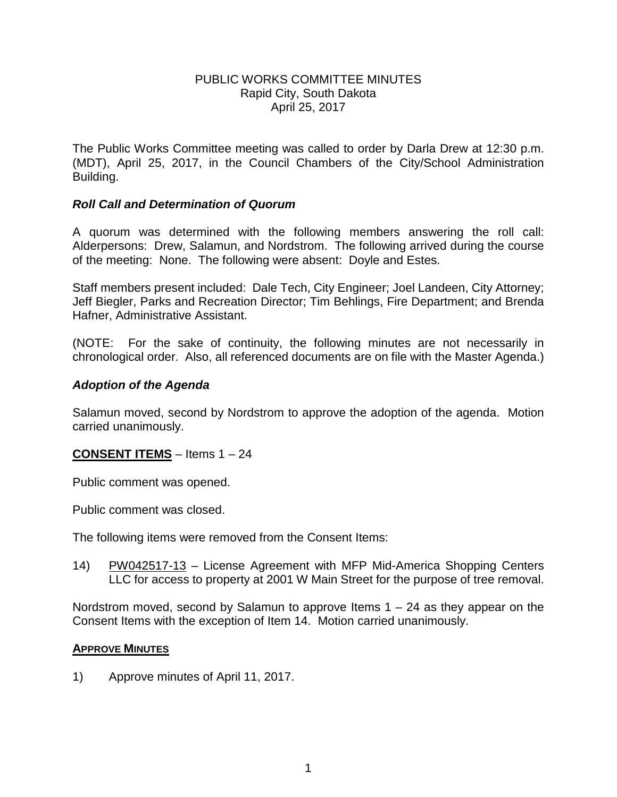### PUBLIC WORKS COMMITTEE MINUTES Rapid City, South Dakota April 25, 2017

The Public Works Committee meeting was called to order by Darla Drew at 12:30 p.m. (MDT), April 25, 2017, in the Council Chambers of the City/School Administration Building.

### *Roll Call and Determination of Quorum*

A quorum was determined with the following members answering the roll call: Alderpersons: Drew, Salamun, and Nordstrom. The following arrived during the course of the meeting: None. The following were absent: Doyle and Estes.

Staff members present included: Dale Tech, City Engineer; Joel Landeen, City Attorney; Jeff Biegler, Parks and Recreation Director; Tim Behlings, Fire Department; and Brenda Hafner, Administrative Assistant.

(NOTE: For the sake of continuity, the following minutes are not necessarily in chronological order. Also, all referenced documents are on file with the Master Agenda.)

### *Adoption of the Agenda*

Salamun moved, second by Nordstrom to approve the adoption of the agenda. Motion carried unanimously.

## **CONSENT ITEMS** – Items 1 – 24

Public comment was opened.

Public comment was closed.

The following items were removed from the Consent Items:

14) PW042517-13 – License Agreement with MFP Mid-America Shopping Centers LLC for access to property at 2001 W Main Street for the purpose of tree removal.

Nordstrom moved, second by Salamun to approve Items  $1 - 24$  as they appear on the Consent Items with the exception of Item 14. Motion carried unanimously.

#### **APPROVE MINUTES**

1) Approve minutes of April 11, 2017.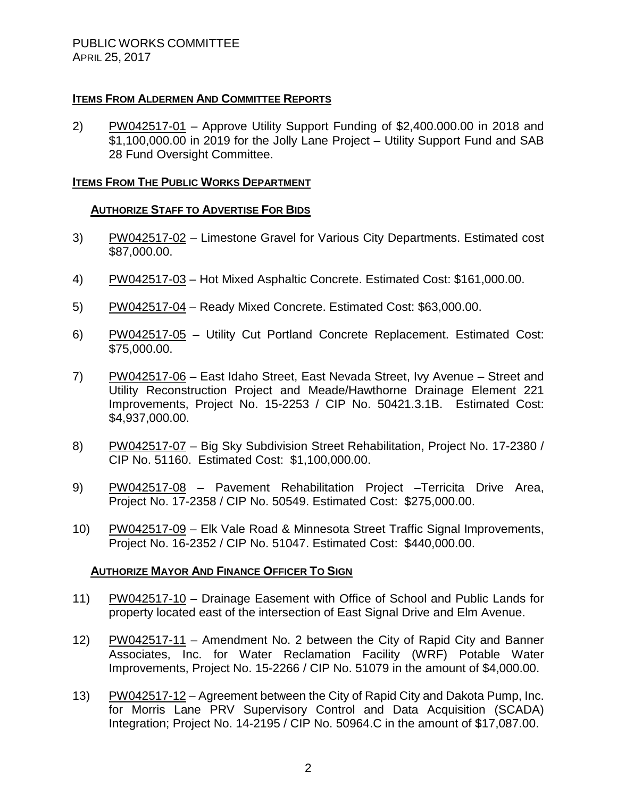## **ITEMS FROM ALDERMEN AND COMMITTEE REPORTS**

2) PW042517-01 – Approve Utility Support Funding of \$2,400.000.00 in 2018 and \$1,100,000.00 in 2019 for the Jolly Lane Project – Utility Support Fund and SAB 28 Fund Oversight Committee.

### **ITEMS FROM THE PUBLIC WORKS DEPARTMENT**

### **AUTHORIZE STAFF TO ADVERTISE FOR BIDS**

- 3) PW042517-02 Limestone Gravel for Various City Departments. Estimated cost \$87,000.00.
- 4) PW042517-03 Hot Mixed Asphaltic Concrete. Estimated Cost: \$161,000.00.
- 5) PW042517-04 Ready Mixed Concrete. Estimated Cost: \$63,000.00.
- 6) PW042517-05 Utility Cut Portland Concrete Replacement. Estimated Cost: \$75,000.00.
- 7) PW042517-06 East Idaho Street, East Nevada Street, Ivy Avenue Street and Utility Reconstruction Project and Meade/Hawthorne Drainage Element 221 Improvements, Project No. 15-2253 / CIP No. 50421.3.1B. Estimated Cost: \$4,937,000.00.
- 8) PW042517-07 Big Sky Subdivision Street Rehabilitation, Project No. 17-2380 / CIP No. 51160. Estimated Cost: \$1,100,000.00.
- 9) PW042517-08 Pavement Rehabilitation Project Terricita Drive Area, Project No. 17-2358 / CIP No. 50549. Estimated Cost: \$275,000.00.
- 10) PW042517-09 Elk Vale Road & Minnesota Street Traffic Signal Improvements, Project No. 16-2352 / CIP No. 51047. Estimated Cost: \$440,000.00.

#### **AUTHORIZE MAYOR AND FINANCE OFFICER TO SIGN**

- 11) PW042517-10 Drainage Easement with Office of School and Public Lands for property located east of the intersection of East Signal Drive and Elm Avenue.
- 12) PW042517-11 Amendment No. 2 between the City of Rapid City and Banner Associates, Inc. for Water Reclamation Facility (WRF) Potable Water Improvements, Project No. 15-2266 / CIP No. 51079 in the amount of \$4,000.00.
- 13) PW042517-12 Agreement between the City of Rapid City and Dakota Pump, Inc. for Morris Lane PRV Supervisory Control and Data Acquisition (SCADA) Integration; Project No. 14-2195 / CIP No. 50964.C in the amount of \$17,087.00.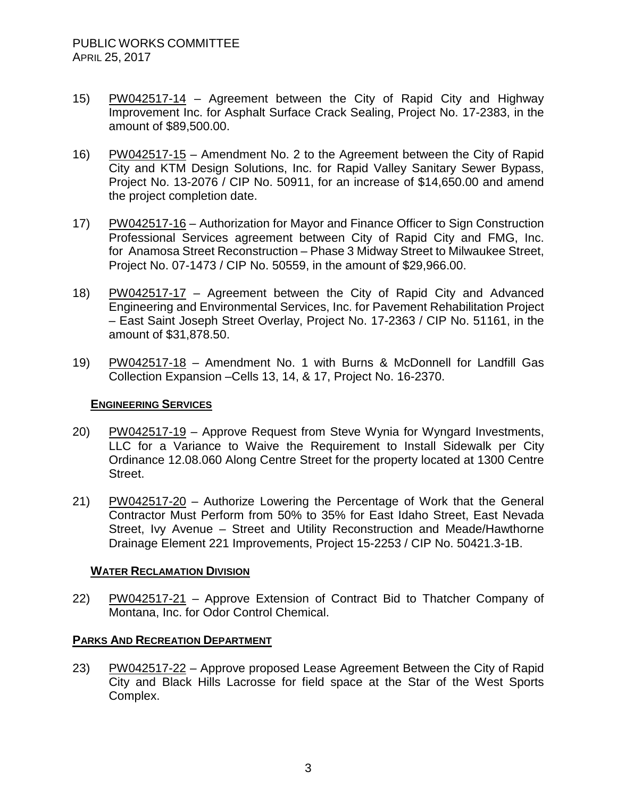- 15) PW042517-14 Agreement between the City of Rapid City and Highway Improvement Inc. for Asphalt Surface Crack Sealing, Project No. 17-2383, in the amount of \$89,500.00.
- 16) PW042517-15 Amendment No. 2 to the Agreement between the City of Rapid City and KTM Design Solutions, Inc. for Rapid Valley Sanitary Sewer Bypass, Project No. 13-2076 / CIP No. 50911, for an increase of \$14,650.00 and amend the project completion date.
- 17) PW042517-16 Authorization for Mayor and Finance Officer to Sign Construction Professional Services agreement between City of Rapid City and FMG, Inc. for Anamosa Street Reconstruction – Phase 3 Midway Street to Milwaukee Street, Project No. 07-1473 / CIP No. 50559, in the amount of \$29,966.00.
- 18) PW042517-17 Agreement between the City of Rapid City and Advanced Engineering and Environmental Services, Inc. for Pavement Rehabilitation Project – East Saint Joseph Street Overlay, Project No. 17-2363 / CIP No. 51161, in the amount of \$31,878.50.
- 19) PW042517-18 Amendment No. 1 with Burns & McDonnell for Landfill Gas Collection Expansion –Cells 13, 14, & 17, Project No. 16-2370.

## **ENGINEERING SERVICES**

- 20) PW042517-19 Approve Request from Steve Wynia for Wyngard Investments, LLC for a Variance to Waive the Requirement to Install Sidewalk per City Ordinance 12.08.060 Along Centre Street for the property located at 1300 Centre Street.
- 21) PW042517-20 Authorize Lowering the Percentage of Work that the General Contractor Must Perform from 50% to 35% for East Idaho Street, East Nevada Street, Ivy Avenue – Street and Utility Reconstruction and Meade/Hawthorne Drainage Element 221 Improvements, Project 15-2253 / CIP No. 50421.3-1B.

#### **WATER RECLAMATION DIVISION**

22) PW042517-21 – Approve Extension of Contract Bid to Thatcher Company of Montana, Inc. for Odor Control Chemical.

## **PARKS AND RECREATION DEPARTMENT**

23) PW042517-22 – Approve proposed Lease Agreement Between the City of Rapid City and Black Hills Lacrosse for field space at the Star of the West Sports Complex.